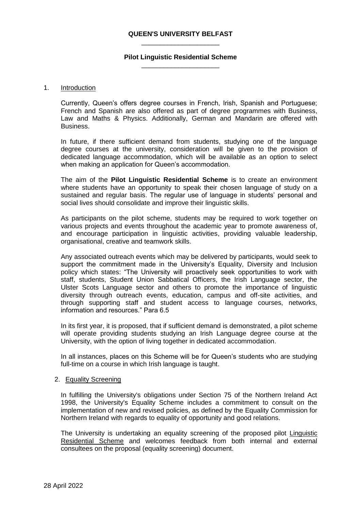## **QUEEN'S UNIVERSITY BELFAST** \_\_\_\_\_\_\_\_\_\_\_\_\_\_\_\_\_\_\_\_\_

## **Pilot Linguistic Residential Scheme** \_\_\_\_\_\_\_\_\_\_\_\_\_\_\_\_\_\_\_\_\_

## 1. Introduction

Currently, Queen's offers degree courses in French, Irish, Spanish and Portuguese; French and Spanish are also offered as part of degree programmes with Business, Law and Maths & Physics. Additionally, German and Mandarin are offered with **Business** 

In future, if there sufficient demand from students, studying one of the language degree courses at the university, consideration will be given to the provision of dedicated language accommodation, which will be available as an option to select when making an application for Queen's accommodation.

The aim of the **Pilot Linguistic Residential Scheme** is to create an environment where students have an opportunity to speak their chosen language of study on a sustained and regular basis. The regular use of language in students' personal and social lives should consolidate and improve their linguistic skills.

As participants on the pilot scheme, students may be required to work together on various projects and events throughout the academic year to promote awareness of, and encourage participation in linguistic activities, providing valuable leadership, organisational, creative and teamwork skills.

Any associated outreach events which may be delivered by participants, would seek to support the commitment made in the University's Equality, Diversity and Inclusion policy which states: "The University will proactively seek opportunities to work with staff, students, Student Union Sabbatical Officers, the Irish Language sector, the Ulster Scots Language sector and others to promote the importance of linguistic diversity through outreach events, education, campus and off-site activities, and through supporting staff and student access to language courses, networks, information and resources." Para 6.5

In its first year, it is proposed, that if sufficient demand is demonstrated, a pilot scheme will operate providing students studying an Irish Language degree course at the University, with the option of living together in dedicated accommodation.

In all instances, places on this Scheme will be for Queen's students who are studying full-time on a course in which Irish language is taught.

## 2. Equality Screening

In fulfilling the University's obligations under Section 75 of the Northern Ireland Act 1998, the University's Equality Scheme includes a commitment to consult on the implementation of new and revised policies, as defined by the Equality Commission for Northern Ireland with regards to equality of opportunity and good relations.

The University is undertaking an equality screening of the proposed pilot Linguistic Residential Scheme and welcomes feedback from both internal and external consultees on the proposal (equality screening) document.